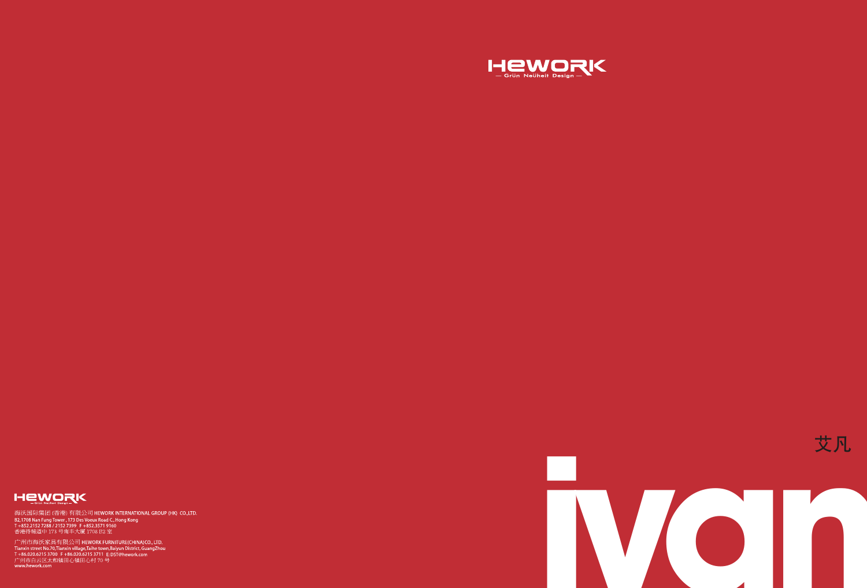

## **HEWORK**

海沃国际集团(香港)有限公司 HEWORK INTERNATIONAL GROUP (HK) CO.,LTD. 

广州市海沃家具有限公司 HEWORK FURNITURE(CHINA)CO., LTD.<br>Tianxin street No.70,Tianxin village,Taihe town,Baiyun District, GuangZhou<br>T +86.020.6215 3700 F +86.020.6215 3711 E: DST@hework.com 广州市白云区太和镇田心镇田心村70号<br>www.hework.com

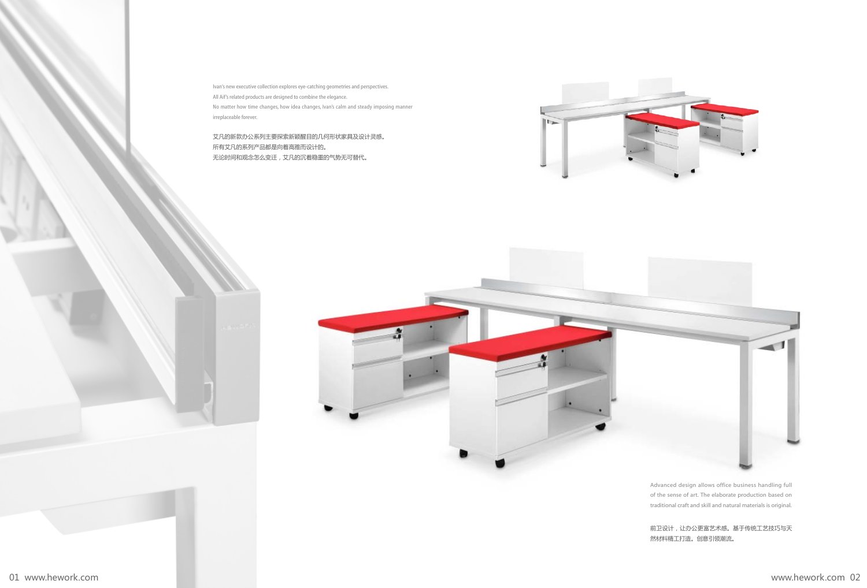

traditional craft and skill and natural materials is original.

前卫设计,让办公更富艺术感。基于传统工艺技巧与天 然材料精工打造。创意引领潮流。

Ivan's new executive collection explores eye-catching geometries and perspectives. All Aif's related products are designed to combine the elegance. No matter how time changes, how idea changes, Ivan's calm and steady imposing manner irreplaceable forever.

艾凡的新款办公系列主要探索新颖醒目的几何形状家具及设计灵感。 所有艾凡的系列产品都是向着高雅而设计的。 无论时间和观念怎么变迁,艾凡的沉着稳重的气势无可替代。

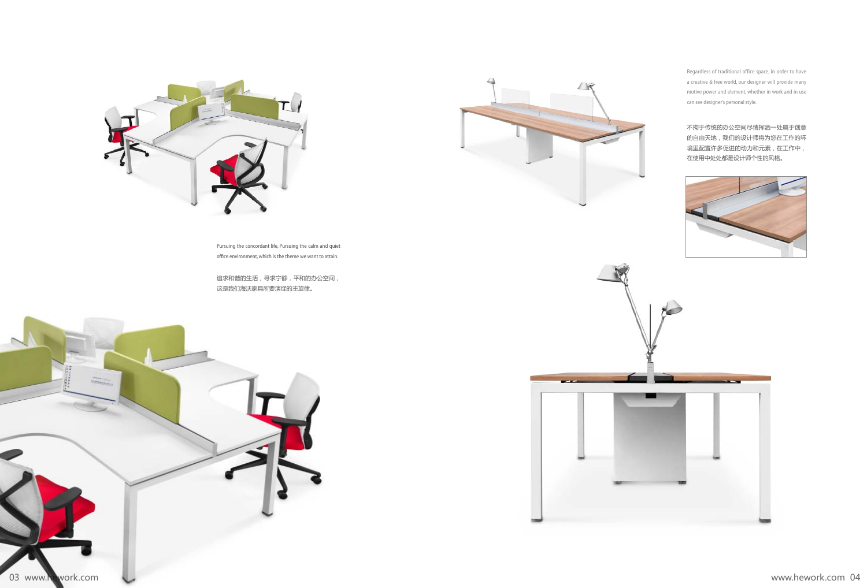





Regardless of traditional office space, in order to have a creative & free world, our designer will provide many motive power and element, whether in work and in use can see designer's personal style.

不拘于传统的办公空间尽情挥洒一处属于创意 的自由天地,我们的设计师将为您在工作的环 境里配置许多促进的动力和元素,在工作中, 在使用中处处都是设计师个性的风格。





Pursuing the concordant life, Pursuing the calm and quiet office environment, which is the theme we want to attain.

追求和谐的生活,寻求宁静,平和的办公空间, 这是我们海沃家具所要演绎的主旋律。